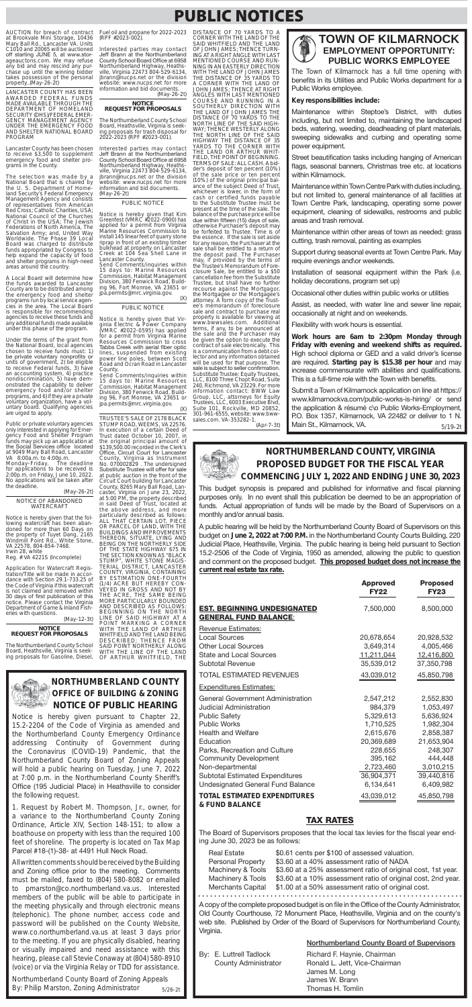### AUCTION for breach of contract At Brookvale Mini Storage, 10436<br>Mary Ball Rd., Lancaster VA. Units<br>C1010 and 20065 will be auctioned off starting JUNE 5, at www.storageauctons.com. We may refuse any bid and may rescind any purchase up until the winning bidder takes possession of the personal<br>property..(May-26-2t)

LANCASTER COUNTY HAS BEEN AWARDED FEDERAL FUNDS<br>MADE AVAILABLE THROUGH THE DEPARTMENT OF HOMELAND<br>SECURITY (DHS)/FEDERAL EMER-GENCY MANAGEMENT AGENCY UNDER THE EMERGENCY FOOD AND SHELTER NATIONAL BOARD PROGRAM

Lancaster County has been chosen<br>to receive \$3,500 to supplement emergency food and shelter programs in the County.

The selection was made by a National Board that is chaired by<br>the U.S. Department of Homeland Security's Federal Emergency Management Agency and consists<br>of representatives from American Red Cross; Catholic Charities, USA; National Council of the Churches<br>of Christ in the USA; The Jewish Federations of North America, The Salvation Army; and, United Way<br>Worldwide. The Phase 39 Local Board was charged to distribute funds appropriated by Congress to help expand the capacity of food and shelter programs in high-need areas around the country.

A Local Board will determine how the funds awarded to Lancaster County are to be distributed among<br>the emergency food and shelter programs run by local service agencies in the area. The Local Board is responsible for recommending agencies to receive these funds and anv additional funds made available under this phase of the program.

Under the terms of the grant from<br>the National Board, local agencies chosen to receive funds must: 1) be private voluntary nonprofits or<br>units of government, 2) be eligible to receive Federal funds, 3) have<br>an accounting system, 4) practice<br>nondiscrimination, 5) have demonstrated the capability to deliver<br>emergency food and/or shelter programs, and 6) if they are a private voluntary organization, have a voluntary board. Qualifying agencies are urged to apply.

Public or private voluntary agencies<br>only interested in applying for Emer-<br>gency Food and Shelter Program<br>funds may pick up an application at<br>the Social Services office located at 9049 Mary Ball Road, Lancaster

VA 8:00a.m. to 4:00p.m.<br>Monday-Friday. The deadline Monday-Friday. The deadline<br>for applications to be received is 2:00p.m. on Friday, June 10, 2022.<br>No applications will be taken after the deadline.

(May-26-2t) NOTICE OF ABANDONED<br>WATERCRAFT

Notice is hereby given that the following watercraft has been abandoned for more than 60 Days on<br>the property of Tuyet Dang, 2165 the property of Tuyet Dang, 2165<br>Windmill Point Rd., White Stone, VA 22578, 804-854-7468. Irwin 28, white

Reg. # VA 4221S (Incomplete)

Application for Watercraft Registration/Title will be made in accordance with Section 29.1-733.25 of the Code of Virginia if this watercraft is not claimed and removed within 30 days of first publication of this notice. Please contact the Virginia<br>Department of Game & Inland Fisheries with questions. (May-12-3t)

**NOTICE** 

Fuel oil and propane for 2022-2023 (RPF #2023-002).

Interested parties may contact Jeff Brann at the Northumberland County School Board Office at 6958 Northumberland Highway, Heaths-<br>ville, Virginia 22473 804-529-6134, jbrann@nucps.net or the division website: www.nucps.net for more information and bid documents.

(May-26-2t) **NOTICE** 

## **REQUEST FOR PROPOSALS**

The Northumberland County School Board, Heathsville, Virginia is seek ing proposals for trash disposal for 2022-2023 (RPF #2023-001)

Interested parties may contact Jeff Brann at the Northumberland County School Board Office at 6958 Northumberland Highway, Heaths-<br>ville, Virginia 22473 804-529-6134, ibrann@nucps.net or the division website: www.nucps.net for more information and bid documents. (May-26-2t)

### PUBLIC NOTICE

Notice is hereby given that Kim<br>Greenfest (VMRC #2022-0900) has applied for a permit from Virginia Marine Resources Commission to<br>install 145 linear feet of quarry stone riprap in front of an existing timber bulkhead at property on Lancaster<br>Creek at 104 Sea Shell Lane in

Lincaster County.<br>Send Comments/inquiries within<br>15 days to: Marine Resources Commission, Habitat Management Division, 380 Fenwick Road, Building 96, Fort Monroe, VA 23651 or jpă.permits@mrc.virginia.gov.  $(X)$ 

#### PUBLIC NOTICE

Notice is hereby given that Vir-<br>ginia Electric & Power Company (VMRC #2022-0595) has applied<br>for a permit from Virginia Marine Resources Commission to cross Tabbs Creek with aerial fiber optic lines, suspended from existing power line poles, between Scott Road and Ocran Road in Lancaster County.

Send Comments/inquiries within 15 days to: Marine Resources<br>Commission, Habitat Management Division, 380 Fenwick Road, Building 96, Fort Monroe, VA 23651 or jpa.permits@mrc.virginia.gov.

 $(X)$ 

TRUSTEE'S SALE OF 2178 BLACK STUMP ROAD, WEEMS, VA 22576. In execution of a certain Deed of Trust dated October 10, 2007, in the original principal amount of \$139,500.00 recorded in the Clerk's Office, Circuit Court for Lancaster<br>County, Virginia as Instrument<br>No. 070002829 . The undersigned Substitute Trustee will offer for sale at public auction in the front of the Circuit Court building for Lancaster<br>County, 8265 Mary Ball Road, Lancaster, Virginia on June 23, 2022,<br>at 5:00 PM, the property described<br>in said Deed of Trust, located at the above address, and more<br>particularly described as follows:<br>ALL THAT CERTAIN LOT, PIECE OR PARCEL OF LAND, WITH THE BUILDINGS AND IMPROVEMENTS BUILDINGS AND INFINITY INTERESTS OF THE STATE HIGHWAY 675 IN<br>THE SECTION KNOWN AS "BLACK STUMP", WHITE STONE MAGIS-<br>TERIAL DISTRICT, LANCASTER<br>COUNTY, VIRGINIA, CONTAINING BY ESTIMATION ONE-FOURTH (1/4) ACRE BUT HEREBY CON-VEYED IN GROSS AND NOT BY<br>THE ACRE, THE SAME BEING<br>MORE PARTICULARLY BOUNDED AND DESCRIBED AS FOLLOWS: BEGINNING ON THE NORTH LINE OF SAID HIGHWAY AT A POINT MARKING A CORNER<br>WITH THE LAND OF ARTHUR<br>WHITFIELD AND THE LAND BEING

DISTANCE OF 70 YARDS TO CORNER WITH THE LAND OF THE SAID WHITFIELD AND THE LAND OF JOHN JAMES THENCE TURN-ING AT A RIGHT ANGLE WITH LAST MENTIONED COURSE AND RUN-NING IN AN FASTERIY DIRECTION WITH THE LAND OF JOHN JAMES THE DISTANCE OF 35 YARDS TO A CORNER WITH THE LAND OF<br>JOHN JAMES; THENCE AT RIGHT<br>ANGLES WITH LAST MENTIONED COURSE AND RUNNING IN A SOUTHERLY DIRECTION WITH<br>THE LAND OF JOHN JAMES THE<br>DISTANCE OF 70 YARDS TO THE NORTH LINE OF THE SAID HIGH-WAY; THENCE WESTERLY ALONG THE NORTH LINE OF THE SAID<br>HIGHWAY THE DISTANCE OF 35<br>YARDS TO THE CORNER WITH THE LAND OR ARTHUR WHIT-FIELD, THE POINT OF BEGINNING. TERMS OF SALE: ALL CASH. A bidder's deposit of ten percent (10%)<br>of the sale price or ten percent (10%) of the original principal balance of the subject Deed of Trust, whichever is lower, in the form of cash or certified funds payable<br>to the Substitute Trustee must be present at the time of the sale. The balance of the purchase price will be due within fifteen (15) days of sale, otherwise Purchaser's deposit may<br>be forfeited to Trustee. Time is of the essence. If the sale is set aside<br>for any reason, the Purchaser at the sale shall be entitled to a return of the deposit paid. The Purchaser<br>may, if provided by the terms of the Trustee's Memorandum of Foreclosure Sale, be entitled to a \$50 cancellation fee from the Substitute Trustee, but shall have no further recourse against the Mortgagor, the Mortgagee or the Mortgagee's attorney. A form copy of the Trust-<br>ee's memorandum of foreclosure sale and contract to purchase real<br>property is available for viewing at<br>www.bwwsales.com. Additional terms, if any, to be announced at the sale and the Purchaser may<br>be given the option to execute the contract of sale electronically. This is a communication from a debt collector and any information obtained will be used for that purpose. The sale is subject to seller confirmation. Substitute Trustee: Equity Trustees, LLC, 8100 Three Chopt Road, Suite 240, Richmond, VA 23229. For more information contact: BWW Law Group, LLC, attorneys for Equity<br>Trustees, LLC, 6003 Executive Blvd, Suite 101, Rockville, MD 20852,<br>301-961-6555, website: www.bww-<br>sales.com. VA-353282-1.

**PUBLIC NOTICES** 

(Apr-7-3t)

NORTHUMBERLAND

# **TOWN OF KILMARNOCK EMPLOYMENT OPPORTUNITY: PUBLIC WORKS EMPLOYEE**

The Town of Kilmarnock has a full time opening with benefits in its Utilities and Public Works department for a Public Works employee.

### Key responsibilities include:

Maintenance within Steptoe's District, with duties including, but not limited to, maintaining the landscaped beds, watering, weeding, deadheading of plant materials, sweeping sidewalks and curbing and operating some power equipment.

Street beautification tasks including hanging of American flags, seasonal banners, Christmas tree etc. at locations within Kilmarnock.

Maintenance within Town Centre Park with duties including, but not limited to, general maintenance of all facilities at Town Centre Park, landscaping, operating some power equipment, cleaning of sidewalks, restrooms and public areas and trash removal.

Maintenance within other areas of town as needed: grass cutting, trash removal, painting as examples

Support during seasonal events at Town Centre Park. May require evenings and\or weekends.

Installation of seasonal equipment within the Park (i.e. holiday decorations, program set up)

Occasional other duties within public works or utilities

Assist, as needed, with water line and sewer line repair, occasionally at night and on weekends.

Flexibility with work hours is essential.

Work hours are 6am to 2:30pm Monday through Friday with evening and weekend shifts as required. High school diploma or GED and a valid driver's license are required. Starting pay is \$15.38 per hour and may increase commensurate with abilities and qualifications. This is a full-time role with the Town with benefits.

Submit a Town of Kilmarnock application on line at https:// www.kilmarnockva.com/public-works-is-hiring/ or send the application & résumé c\o Public Works-Employment, P.O. Box 1357, Kilmarnock, VA 22482 or deliver to 1 N. Main St., Kilmarnock, VA.  $5/19-2t$ 

# NORTHUMBERLAND COUNTY, VIRGINIA PROPOSED BUDGET FOR THE FISCAL YEAR COMMENCING JULY 1, 2022 AND ENDING JUNE 30, 2023

This budget synopsis is prepared and published for informative and fiscal planning purposes only. In no event shall this publication be deemed to be an appropriation of funds. Actual appropriation of funds will be made by the Board of Supervisors on a monthly and/or annual basis.

A public hearing will be held by the Northumberland County Board of Supervisors on this budget on June 2, 2022 at 7:00 P.M. in the Northumberland County Courts Building, 220 Judicial Place, Heathsville, Virginia. The public hearing is being held pursuant to Section 15.2-2506 of the Code of Virginia, 1950 as amended, allowing the public to question and comment on the proposed budget. This proposed budget does not increase the current real estate tax rate.

|                             | <b>Approved</b><br><b>FY22</b> | <b>Proposed</b><br><b>FY23</b> |
|-----------------------------|--------------------------------|--------------------------------|
| EST. BEGINNING UNDESIGNATED | 7.500.000                      | 8,500,000                      |
| GENERAL FUND BALANCE:       |                                |                                |

Revenue Estimates:

#### **REQUEST FOR PROPOS**

The Northumberland County School Board, Heathsville, Virginia is seeking proposals for Gasoline, Diesel,

DESCRIBED; THENCE FROM SAID POINT NORTHERLY ALONG<br>WITH THE LINE OF THE LAND OF ARTHUR WHITFIELD, THE



# **NORTHUMBERLAND COUNTY OFFICE OF BUILDING & ZONING NOTICE OF PUBLIC HEARING**

Notice is hereby given pursuant to Chapter 22, 15.2-2204 of the Code of Virginia as amended and the Northumberland County Emergency Ordinance addressing Continuity of Government during the Coronavirus (COVID-19) Pandemic, that the Northumberland County Board of Zoning Appeals will hold a public hearing on Tuesday, June 7, 2022 at 7:00 p.m. in the Northumberland County Sheriff's Office (195 Judicial Place) in Heathsville to consider the following request.

1. Request by Robert M. Thompson, Jr., owner, for a variance to the Northumberland County Zoning Ordinance, Article XIV, Section 148-151; to allow a boathouse on property with less than the required 100 feet of shoreline. The property is located on Tax Map Parcel #18-(1)-38- at 4491 Hull Neck Road.

All written comments should be received by the Building and Zoning office prior to the meeting. Comments must be mailed, faxed to (804) 580-8082 or emailed to pmarston@co.northumberland.va.us. Interested members of the public will be able to participate in the meeting physically and through electronic means (telephonic). The phone number, access code and password will be published on the County Website, www.co.northumberland.va.us at least 3 days prior to the meeting. If you are physically disabled, hearing or visually impaired and need assistance with this hearing, please call Stevie Conaway at (804) 580-8910 (voice) or via the Virginia Relay or TDD for assistance.

Northumberland County Board of Zoning Appeals By: Philip Marston, Zoning Administrator  $5/26 - 2t$ 

| <b>Local Sources</b>                                             | 20,678,654 | 20,928,532 |
|------------------------------------------------------------------|------------|------------|
| <b>Other Local Sources</b>                                       | 3,649,314  | 4,005,466  |
| <b>State and Local Sources</b>                                   | 11,211,044 | 12,416,800 |
| Subtotal Revenue                                                 | 35,539,012 | 37,350,798 |
| <b>TOTAL ESTIMATED REVENUES</b>                                  | 43,039,012 | 45,850,798 |
| <b>Expenditures Estimates:</b>                                   |            |            |
| General Government Administration                                | 2,547,212  | 2,552,830  |
| Judicial Administration                                          | 984,379    | 1,053,497  |
| <b>Public Safety</b>                                             | 5,329,613  | 5,636,924  |
| <b>Public Works</b>                                              | 1,710,525  | 1,982,304  |
| <b>Health and Welfare</b>                                        | 2,615,676  | 2,858,387  |
| Education                                                        | 20,369,689 | 21,653,904 |
| Parks, Recreation and Culture                                    | 228,655    | 248,307    |
| <b>Community Development</b>                                     | 395,162    | 444,448    |
| Non-departmental                                                 | 2,723,460  | 3,010,215  |
| <b>Subtotal Estimated Expenditures</b>                           | 36,904,371 | 39,440,816 |
| Undesignated General Fund Balance                                | 6,134,641  | 6,409,982  |
| <b>TOTAL ESTIMATED EXPENDITURES</b><br><b>&amp; FUND BALANCE</b> | 43,039,012 | 45,850,798 |
|                                                                  |            |            |

## **TAX RATES**

The Board of Supervisors proposes that the local tax levies for the fiscal year ending June 30, 2023 be as follows:

| <b>Real Estate</b> | \$0.61 cents per \$100 of assessed valuation.                |
|--------------------|--------------------------------------------------------------|
| Personal Property  | \$3.60 at a 40% assessment ratio of NADA                     |
| Machinery & Tools  | \$3.60 at a 25% assessment ratio of original cost, 1st year. |
| Machinery & Tools  | \$3.60 at a 10% assessment ratio of original cost, 2nd year. |
| Merchants Capital  | \$1.00 at a 50% assessment ratio of original cost.           |
|                    |                                                              |

A copy of the complete proposed budget is on file in the Office of the County Administrator, Old County Courthouse, 72 Monument Place, Heathsville, Virginia and on the county's web site. Published by Order of the Board of Supervisors for Northumberland County, Virginia.

By: E. Luttrell Tadlock **County Administrator** 

## Northumberland County Board of Supervisors

Richard F. Haynie, Chairman Ronald L. Jett, Vice-Chairman James M. Long James W. Brann Thomas H. Tomlin